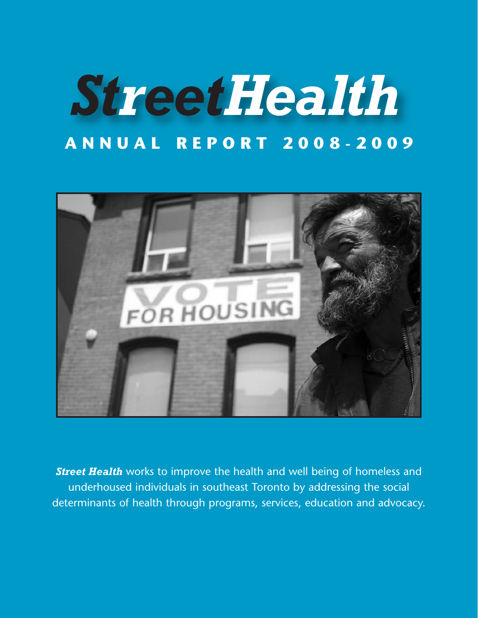# *StreetHealth* **ANNUAL REPORT 2008-2009**



**Street Health** works to improve the health and well being of homeless and underhoused individuals in southeast Toronto by addressing the social determinants of health through programs, services, education and advocacy.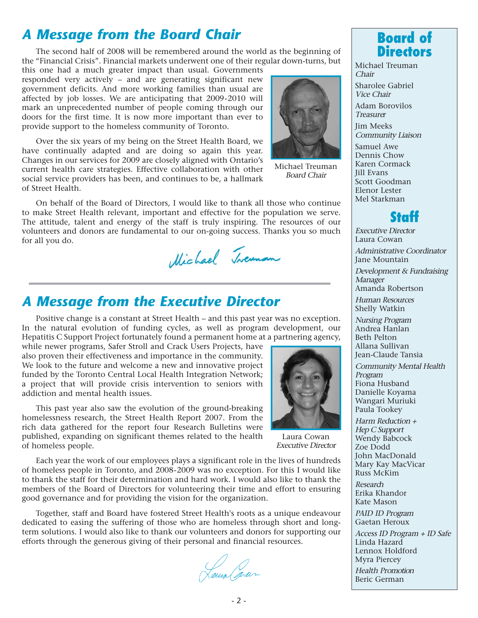## *A Message from the Board Chair*

The second half of 2008 will be remembered around the world as the beginning of the "Financial Crisis". Financial markets underwent one of their regular down-turns, but

this one had a much greater impact than usual. Governments responded very actively – and are generating significant new government deficits. And more working families than usual are affected by job losses. We are anticipating that 2009-2010 will mark an unprecedented number of people coming through our doors for the first time. It is now more important than ever to provide support to the homeless community of Toronto.

Over the six years of my being on the Street Health Board, we have continually adapted and are doing so again this year. Changes in our services for 2009 are closely aligned with Ontario's current health care strategies. Effective collaboration with other social service providers has been, and continues to be, a hallmark of Street Health.



Michael Treuman Board Chair

On behalf of the Board of Directors, I would like to thank all those who continue to make Street Health relevant, important and effective for the population we serve. The attitude, talent and energy of the staff is truly inspiring. The resources of our volunteers and donors are fundamental to our on-going success. Thanks you so much for all you do.

Michael Treuman

## *A Message from the Executive Director*

Positive change is a constant at Street Health – and this past year was no exception. In the natural evolution of funding cycles, as well as program development, our Hepatitis C Support Project fortunately found a permanent home at a partnering agency,

while newer programs, Safer Stroll and Crack Users Projects, have also proven their effectiveness and importance in the community. We look to the future and welcome a new and innovative project funded by the Toronto Central Local Health Integration Network; a project that will provide crisis intervention to seniors with addiction and mental health issues.

This past year also saw the evolution of the ground-breaking homelessness research, the Street Health Report 2007. From the rich data gathered for the report four Research Bulletins were published, expanding on significant themes related to the health of homeless people.



Laura Cowan Executive Director

Each year the work of our employees plays a significant role in the lives of hundreds of homeless people in Toronto, and 2008-2009 was no exception. For this I would like to thank the staff for their determination and hard work. I would also like to thank the members of the Board of Directors for volunteering their time and effort to ensuring good governance and for providing the vision for the organization.

Together, staff and Board have fostered Street Health's roots as a unique endeavour dedicated to easing the suffering of those who are homeless through short and longterm solutions. I would also like to thank our volunteers and donors for supporting our efforts through the generous giving of their personal and financial resources.

Laus (sur



Michael Treuman Chair

Sharolee Gabriel Vice Chair

Adam Borovilos Treasurer

Jim Meeks Community Liaison

Samuel Awe Dennis Chow Karen Cormack Jill Evans Scott Goodman Elenor Lester Mel Starkman



Executive Director Laura Cowan Administrative Coordinator Jane Mountain

Development & Fundraising Manager Amanda Robertson

Human Resources

Shelly Watkin

Nursing Program Andrea Hanlan Beth Pelton Allana Sullivan Jean-Claude Tansia

Community Mental Health Program Fiona Husband Danielle Koyama Wangari Muriuki Paula Tookey

Harm Reduction + Hep C Support Wendy Babcock Zoe Dodd John MacDonald Mary Kay MacVicar Russ McKim

Research Erika Khandor Kate Mason

PAID ID Program Gaetan Heroux

Access ID Program + ID Safe Linda Hazard Lennox Holdford Myra Piercey

Health Promotion Beric German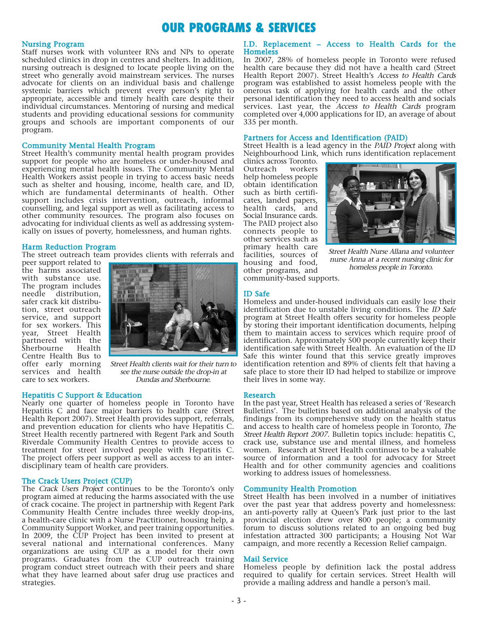## **OUR PROGRAMS & SERVICES**

#### Nursing Program

Staff nurses work with volunteer RNs and NPs to operate scheduled clinics in drop in centres and shelters. In addition, nursing outreach is designed to locate people living on the street who generally avoid mainstream services. The nurses advocate for clients on an individual basis and challenge systemic barriers which prevent every person's right to appropriate, accessible and timely health care despite their individual circumstances. Mentoring of nursing and medical students and providing educational sessions for community groups and schools are important components of our program.

#### Community Mental Health Program

Street Health's community mental health program provides support for people who are homeless or under-housed and experiencing mental health issues. The Community Mental Health Workers assist people in trying to access basic needs such as shelter and housing, income, health care, and ID, which are fundamental determinants of health. Other support includes crisis intervention, outreach, informal counselling, and legal support as well as facilitating access to other community resources. The program also focuses on advocating for individual clients as well as addressing systemically on issues of poverty, homelessness, and human rights.

#### Harm Reduction Program

The street outreach team provides clients with referrals and

peer support related to the harms associated with substance use. The program includes<br>needle distribution.  $\check{\phantom{\phi}}$  distribution, safer crack kit distribution, street outreach service, and support for sex workers. This year, Street Health partnered with the<br>Sherbourne Health Sherbourne Centre Health Bus to offer early morning services and health care to sex workers.



Street Health clients wait for their turn to see the nurse outside the drop-in at Dundas and Sherbourne.

#### Hepatitis C Support & Education

Nearly one quarter of homeless people in Toronto have Hepatitis C and face major barriers to health care (Street Health Report 2007). Street Health provides support, referrals, and prevention education for clients who have Hepatitis C. Street Health recently partnered with Regent Park and South Riverdale Community Health Centres to provide access to treatment for street involved people with Hepatitis C. The project offers peer support as well as access to an interdisciplinary team of health care providers.

#### The Crack Users Project (CUP)

The Crack Users Project continues to be the Toronto's only program aimed at reducing the harms associated with the use of crack cocaine. The project in partnership with Regent Park Community Health Centre includes three weekly drop-ins, a health-care clinic with a Nurse Practitioner, housing help, a Community Support Worker, and peer training opportunities. In 2009, the CUP Project has been invited to present at several national and international conferences. Many organizations are using CUP as a model for their own programs. Graduates from the CUP outreach training program conduct street outreach with their peers and share what they have learned about safer drug use practices and strategies.

#### I.D. Replacement – Access to Health Cards for the **Homeless**

In 2007, 28% of homeless people in Toronto were refused health care because they did not have a health card (Street Health Report 2007). Street Health's Access to Health Cards program was established to assist homeless people with the onerous task of applying for health cards and the other personal identification they need to access health and socials services. Last year, the Access to Health Cards program completed over 4,000 applications for ID, an average of about 335 per month.

#### Partners for Access and Identification (PAID)

Street Health is a lead agency in the PAID Project along with Neighbourhood Link, which runs identification replacement

clinics across Toronto. Outreach workers help homeless people obtain identification such as birth certificates, landed papers, health cards, and Social Insurance cards. The PAID project also connects people to other services such as primary health care facilities, sources of housing and food, other programs, and



Street Health Nurse Allana and volunteer nurse Anna at a recent nursing clinic for homeless people in Toronto.

community-based supports.

#### ID Safe

Homeless and under-housed individuals can easily lose their identification due to unstable living conditions. The ID Safe program at Street Health offers security for homeless people by storing their important identification documents, helping them to maintain access to services which require proof of identification. Approximately 500 people currently keep their identification safe with Street Health. An evaluation of the ID Safe this winter found that this service greatly improves identification retention and 89% of clients felt that having a safe place to store their ID had helped to stabilize or improve their lives in some way.

#### Research

In the past year, Street Health has released a series of 'Research Bulletins'. The bulletins based on additional analysis of the findings from its comprehensive study on the health status and access to health care of homeless people in Toronto, The Street Health Report 2007. Bulletin topics include: hepatitis C, crack use, substance use and mental illness, and homeless women. Research at Street Health continues to be a valuable source of information and a tool for advocacy for Street Health and for other community agencies and coalitions working to address issues of homelessness.

#### Community Health Promotion

Street Health has been involved in a number of initiatives over the past year that address poverty and homelessness: an anti-poverty rally at Queen's Park just prior to the last provincial election drew over 800 people; a community forum to discuss solutions related to an ongoing bed bug infestation attracted 300 participants; a Housing Not War campaign, and more recently a Recession Relief campaign.

#### Mail Service

Homeless people by definition lack the postal address required to qualify for certain services. Street Health will provide a mailing address and handle a person's mail.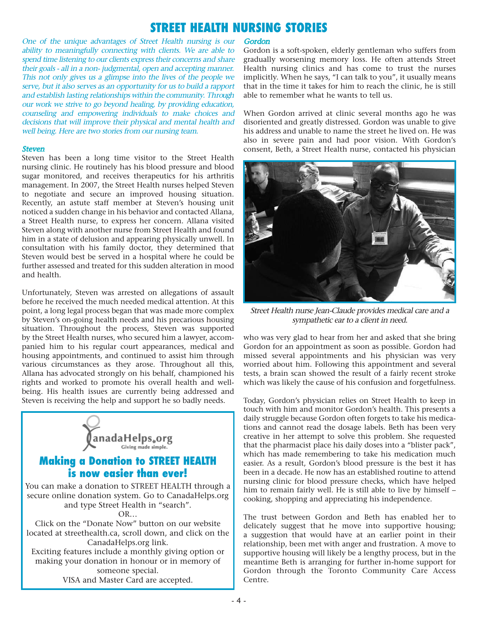## **STREET HEALTH NURSING STORIES**

One of the unique advantages of Street Health nursing is our ability to meaningfully connecting with clients. We are able to spend time listening to our clients express their concerns and share their goals - all in a non- judgmental, open and accepting manner. This not only gives us a glimpse into the lives of the people we serve, but it also serves as an opportunity for us to build a rapport and establish lasting relationships within the community. Through our work we strive to go beyond healing, by providing education, counseling and empowering individuals to make choices and decisions that will improve their physical and mental health and well being. Here are two stories from our nursing team.

#### **Steven**

Steven has been a long time visitor to the Street Health nursing clinic. He routinely has his blood pressure and blood sugar monitored, and receives therapeutics for his arthritis management. In 2007, the Street Health nurses helped Steven to negotiate and secure an improved housing situation. Recently, an astute staff member at Steven's housing unit noticed a sudden change in his behavior and contacted Allana, a Street Health nurse, to express her concern. Allana visited Steven along with another nurse from Street Health and found him in a state of delusion and appearing physically unwell. In consultation with his family doctor, they determined that Steven would best be served in a hospital where he could be further assessed and treated for this sudden alteration in mood and health.

Unfortunately, Steven was arrested on allegations of assault before he received the much needed medical attention. At this point, a long legal process began that was made more complex by Steven's on-going health needs and his precarious housing situation. Throughout the process, Steven was supported by the Street Health nurses, who secured him a lawyer, accompanied him to his regular court appearances, medical and housing appointments, and continued to assist him through various circumstances as they arose. Throughout all this, Allana has advocated strongly on his behalf, championed his rights and worked to promote his overall health and wellbeing. His health issues are currently being addressed and Steven is receiving the help and support he so badly needs.



### **Making a Donation to STREET HEALTH is now easier than ever!**

You can make a donation to STREET HEALTH through a secure online donation system. Go to CanadaHelps.org and type Street Health in "search".

OR…

Click on the "Donate Now" button on our website located at streethealth.ca, scroll down, and click on the CanadaHelps.org link. Exciting features include a monthly giving option or making your donation in honour or in memory of someone special. VISA and Master Card are accepted.

#### **Gordon**

Gordon is a soft-spoken, elderly gentleman who suffers from gradually worsening memory loss. He often attends Street Health nursing clinics and has come to trust the nurses implicitly. When he says, "I can talk to you", it usually means that in the time it takes for him to reach the clinic, he is still able to remember what he wants to tell us.

When Gordon arrived at clinic several months ago he was disoriented and greatly distressed. Gordon was unable to give his address and unable to name the street he lived on. He was also in severe pain and had poor vision. With Gordon's consent, Beth, a Street Health nurse, contacted his physician



Street Health nurse Jean-Claude provides medical care and a sympathetic ear to a client in need.

who was very glad to hear from her and asked that she bring Gordon for an appointment as soon as possible. Gordon had missed several appointments and his physician was very worried about him. Following this appointment and several tests, a brain scan showed the result of a fairly recent stroke which was likely the cause of his confusion and forgetfulness.

Today, Gordon's physician relies on Street Health to keep in touch with him and monitor Gordon's health. This presents a daily struggle because Gordon often forgets to take his medications and cannot read the dosage labels. Beth has been very creative in her attempt to solve this problem. She requested that the pharmacist place his daily doses into a "blister pack", which has made remembering to take his medication much easier. As a result, Gordon's blood pressure is the best it has been in a decade. He now has an established routine to attend nursing clinic for blood pressure checks, which have helped him to remain fairly well. He is still able to live by himself – cooking, shopping and appreciating his independence.

The trust between Gordon and Beth has enabled her to delicately suggest that he move into supportive housing; a suggestion that would have at an earlier point in their relationship, been met with anger and frustration. A move to supportive housing will likely be a lengthy process, but in the meantime Beth is arranging for further in-home support for Gordon through the Toronto Community Care Access Centre.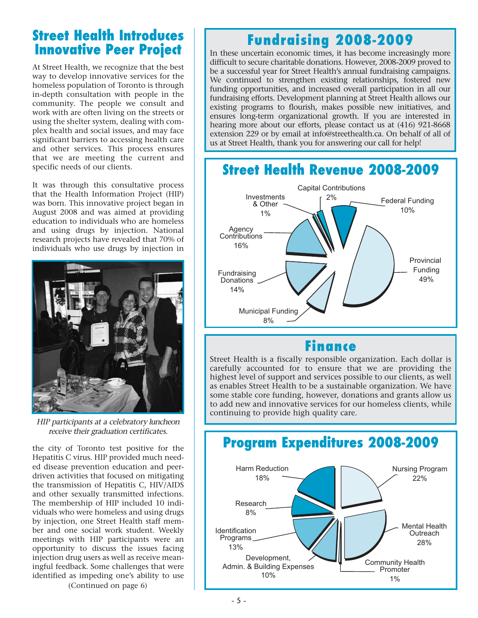## **Street Health Introduces Innovative Peer Project**

At Street Health, we recognize that the best way to develop innovative services for the homeless population of Toronto is through in-depth consultation with people in the community. The people we consult and work with are often living on the streets or using the shelter system, dealing with complex health and social issues, and may face significant barriers to accessing health care and other services. This process ensures that we are meeting the current and specific needs of our clients.

It was through this consultative process that the Health Information Project (HIP) was born. This innovative project began in August 2008 and was aimed at providing education to individuals who are homeless and using drugs by injection. National research projects have revealed that 70% of individuals who use drugs by injection in



HIP participants at a celebratory luncheon receive their graduation certificates.

the city of Toronto test positive for the Hepatitis C virus. HIP provided much needed disease prevention education and peerdriven activities that focused on mitigating the transmission of Hepatitis C, HIV/AIDS and other sexually transmitted infections. The membership of HIP included 10 individuals who were homeless and using drugs by injection, one Street Health staff member and one social work student. Weekly meetings with HIP participants were an opportunity to discuss the issues facing injection drug users as well as receive meaningful feedback. Some challenges that were identified as impeding one's ability to use

(Continued on page 6)

# **Fundraising 2008-2009**

In these uncertain economic times, it has become increasingly more difficult to secure charitable donations. However, 2008-2009 proved to be a successful year for Street Health's annual fundraising campaigns. We continued to strengthen existing relationships, fostered new funding opportunities, and increased overall participation in all our fundraising efforts. Development planning at Street Health allows our existing programs to flourish, makes possible new initiatives, and ensures long-term organizational growth. If you are interested in hearing more about our efforts, please contact us at (416) 921-8668 extension 229 or by email at info@streethealth.ca. On behalf of all of us at Street Health, thank you for answering our call for help!



## **Finance**

Street Health is a fiscally responsible organization. Each dollar is carefully accounted for to ensure that we are providing the highest level of support and services possible to our clients, as well as enables Street Health to be a sustainable organization. We have some stable core funding, however, donations and grants allow us to add new and innovative services for our homeless clients, while continuing to provide high quality care.